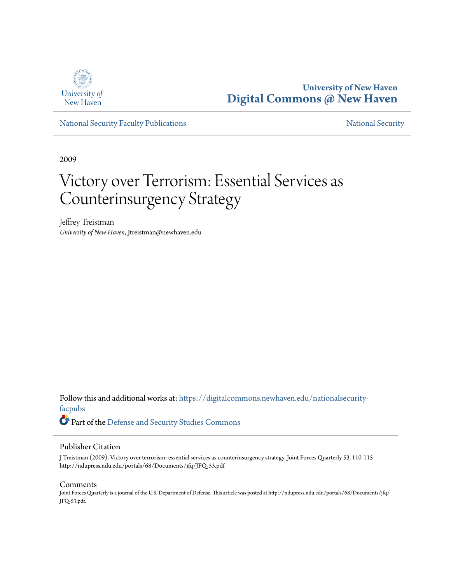

**University of New Haven [Digital Commons @ New Haven](https://digitalcommons.newhaven.edu?utm_source=digitalcommons.newhaven.edu%2Fnationalsecurity-facpubs%2F5&utm_medium=PDF&utm_campaign=PDFCoverPages)**

[National Security Faculty Publications](https://digitalcommons.newhaven.edu/nationalsecurity-facpubs?utm_source=digitalcommons.newhaven.edu%2Fnationalsecurity-facpubs%2F5&utm_medium=PDF&utm_campaign=PDFCoverPages) [National Security](https://digitalcommons.newhaven.edu/nationalsecurity?utm_source=digitalcommons.newhaven.edu%2Fnationalsecurity-facpubs%2F5&utm_medium=PDF&utm_campaign=PDFCoverPages) National Security

2009

## Victory over Terrorism: Essential Services as Counterinsurgency Strategy

Jeffrey Treistman *University of New Haven*, Jtreistman@newhaven.edu

Follow this and additional works at: [https://digitalcommons.newhaven.edu/nationalsecurity](https://digitalcommons.newhaven.edu/nationalsecurity-facpubs?utm_source=digitalcommons.newhaven.edu%2Fnationalsecurity-facpubs%2F5&utm_medium=PDF&utm_campaign=PDFCoverPages)[facpubs](https://digitalcommons.newhaven.edu/nationalsecurity-facpubs?utm_source=digitalcommons.newhaven.edu%2Fnationalsecurity-facpubs%2F5&utm_medium=PDF&utm_campaign=PDFCoverPages)

Part of the [Defense and Security Studies Commons](http://network.bepress.com/hgg/discipline/394?utm_source=digitalcommons.newhaven.edu%2Fnationalsecurity-facpubs%2F5&utm_medium=PDF&utm_campaign=PDFCoverPages)

### Publisher Citation

J Treistman (2009). Victory over terrorism: essential services as counterinsurgency strategy. Joint Forces Quarterly 53, 110-115 http://ndupress.ndu.edu/portals/68/Documents/jfq/JFQ-53.pdf

#### Comments

Joint Forces Quarterly is a journal of the U.S. Department of Defense. This article was posted at http://ndupress.ndu.edu/portals/68/Documents/jfq/ JFQ-53.pdf.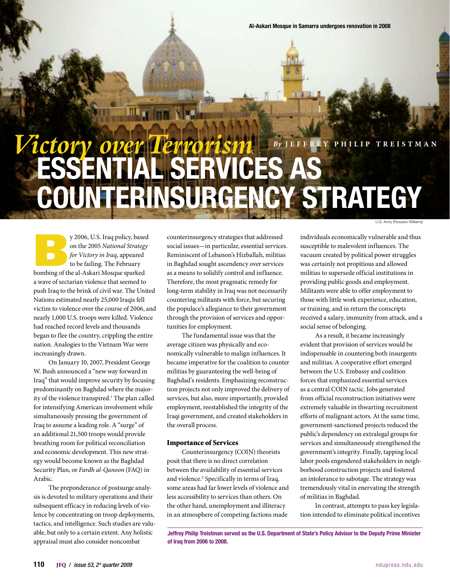# Essential Services as Counterinsurgency Strategy *By* **Jeffrey Phili p Treis t man** *Victory over Terrorism*

U.S. Army (Roszario Williams)

y 2006, U.S. Iraq policy, based<br>
on the 2005 *National Strategy*<br>
for *Victory in Iraq*, appeared<br>
to be failing. The February<br>
bombing of the al-Askari Mosque sparked on the 2005 *National Strategy for Victory in Iraq*, appeared to be failing. The February a wave of sectarian violence that seemed to push Iraq to the brink of civil war. The United Nations estimated nearly 25,000 Iraqis fell victim to violence over the course of 2006, and nearly 1,000 U.S. troops were killed. Violence had reached record levels and thousands began to flee the country, crippling the entire nation. Analogies to the Vietnam War were increasingly drawn.

mi <sub>11</sub>

On January 10, 2007, President George W. Bush announced a "new way forward in Iraq" that would improve security by focusing predominantly on Baghdad where the majority of the violence transpired.<sup>1</sup> The plan called for intensifying American involvement while simultaneously pressing the government of Iraq to assume a leading role. A "surge" of an additional 21,500 troops would provide breathing room for political reconciliation and economic development. This new strategy would become known as the Baghdad Security Plan, or *Fardh al-Qanoon* (FAQ) in Arabic.

The preponderance of postsurge analysis is devoted to military operations and their subsequent efficacy in reducing levels of violence by concentrating on troop deployments, tactics, and intelligence. Such studies are valuable, but only to a certain extent. Any holistic appraisal must also consider noncombat

counterinsurgency strategies that addressed social issues—in particular, essential services. Reminiscent of Lebanon's Hizballah, militias in Baghdad sought ascendency over services as a means to solidify control and influence. Therefore, the most pragmatic remedy for long-term stability in Iraq was not necessarily countering militants with force, but securing the populace's allegiance to their government through the provision of services and opportunities for employment.

The fundamental issue was that the average citizen was physically and economically vulnerable to malign influences. It became imperative for the coalition to counter militias by guaranteeing the well-being of Baghdad's residents. Emphasizing reconstruction projects not only improved the delivery of services, but also, more importantly, provided employment, reestablished the integrity of the Iraqi government, and created stakeholders in the overall process.

#### Importance of Services

Counterinsurgency (COIN) theorists posit that there is no direct correlation between the availability of essential services and violence.<sup>2</sup> Specifically in terms of Iraq, some areas had far lower levels of violence and less accessibility to services than others. On the other hand, unemployment and illiteracy in an atmosphere of competing factions made

individuals economically vulnerable and thus susceptible to malevolent influences. The vacuum created by political power struggles was certainly not propitious and allowed militias to supersede official institutions in providing public goods and employment. Militants were able to offer employment to those with little work experience, education, or training, and in return the conscripts received a salary, immunity from attack, and a social sense of belonging.

As a result, it became increasingly evident that provision of services would be indispensable in countering both insurgents and militias. A cooperative effort emerged between the U.S. Embassy and coalition forces that emphasized essential services as a central COIN tactic. Jobs generated from official reconstruction initiatives were extremely valuable in thwarting recruitment efforts of malignant actors. At the same time, government-sanctioned projects reduced the public's dependency on extralegal groups for services and simultaneously strengthened the government's integrity. Finally, tapping local labor pools engendered stakeholders in neighborhood construction projects and fostered an intolerance to sabotage. The strategy was tremendously vital in enervating the strength of militias in Baghdad.

In contrast, attempts to pass key legislation intended to eliminate political incentives

Jeffrey Philip Treistman served as the U.S. Department of State's Policy Advisor to the Deputy Prime Minister of Iraq from 2006 to 2008.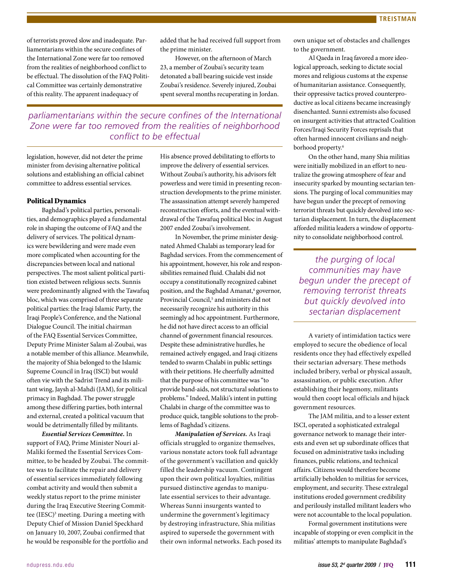of terrorists proved slow and inadequate. Parliamentarians within the secure confines of the International Zone were far too removed from the realities of neighborhood conflict to be effectual. The dissolution of the FAQ Political Committee was certainly demonstrative of this reality. The apparent inadequacy of

added that he had received full support from the prime minister.

However, on the afternoon of March 23, a member of Zoubai's security team detonated a ball bearing suicide vest inside Zoubai's residence. Severely injured, Zoubai spent several months recuperating in Jordan.

## *parliamentarians within the secure confines of the International Zone were far too removed from the realities of neighborhood conflict to be effectual*

legislation, however, did not deter the prime minister from devising alternative political solutions and establishing an official cabinet committee to address essential services.

#### Political Dynamics

Baghdad's political parties, personalities, and demographics played a fundamental role in shaping the outcome of FAQ and the delivery of services. The political dynamics were bewildering and were made even more complicated when accounting for the discrepancies between local and national perspectives. The most salient political partition existed between religious sects. Sunnis were predominantly aligned with the Tawafuq bloc, which was comprised of three separate political parties: the Iraqi Islamic Party, the Iraqi People's Conference, and the National Dialogue Council. The initial chairman of the FAQ Essential Services Committee, Deputy Prime Minister Salam al-Zoubai, was a notable member of this alliance. Meanwhile, the majority of Shia belonged to the Islamic Supreme Council in Iraq (ISCI) but would often vie with the Sadrist Trend and its militant wing, Jaysh al-Mahdi (JAM), for political primacy in Baghdad. The power struggle among these differing parties, both internal and external, created a political vacuum that would be detrimentally filled by militants.

*Essential Services Committee.* In support of FAQ, Prime Minister Nouri al-Maliki formed the Essential Services Committee, to be headed by Zoubai. The committee was to facilitate the repair and delivery of essential services immediately following combat activity and would then submit a weekly status report to the prime minister during the Iraq Executive Steering Committee (IESC)<sup>3</sup> meeting. During a meeting with Deputy Chief of Mission Daniel Speckhard on January 10, 2007, Zoubai confirmed that he would be responsible for the portfolio and

His absence proved debilitating to efforts to improve the delivery of essential services. Without Zoubai's authority, his advisors felt powerless and were timid in presenting reconstruction developments to the prime minister. The assassination attempt severely hampered reconstruction efforts, and the eventual withdrawal of the Tawafuq political bloc in August 2007 ended Zoubai's involvement.

In November, the prime minister designated Ahmed Chalabi as temporary lead for Baghdad services. From the commencement of his appointment, however, his role and responsibilities remained fluid. Chalabi did not occupy a constitutionally recognized cabinet position, and the Baghdad Amanat,<sup>4</sup> governor, Provincial Council,<sup>5</sup> and ministers did not necessarily recognize his authority in this seemingly ad hoc appointment. Furthermore, he did not have direct access to an official channel of government financial resources. Despite these administrative hurdles, he remained actively engaged, and Iraqi citizens tended to swarm Chalabi in public settings with their petitions. He cheerfully admitted that the purpose of his committee was "to provide band-aids, not structural solutions to problems." Indeed, Maliki's intent in putting Chalabi in charge of the committee was to produce quick, tangible solutions to the problems of Baghdad's citizens.

*Manipulation of Services.* As Iraqi officials struggled to organize themselves, various nonstate actors took full advantage of the government's vacillation and quickly filled the leadership vacuum. Contingent upon their own political loyalties, militias pursued distinctive agendas to manipulate essential services to their advantage. Whereas Sunni insurgents wanted to undermine the government's legitimacy by destroying infrastructure, Shia militias aspired to supersede the government with their own informal networks. Each posed its own unique set of obstacles and challenges to the government.

Al Qaeda in Iraq favored a more ideological approach, seeking to dictate social mores and religious customs at the expense of humanitarian assistance. Consequently, their oppressive tactics proved counterproductive as local citizens became increasingly disenchanted. Sunni extremists also focused on insurgent activities that attracted Coalition Forces/Iraqi Security Forces reprisals that often harmed innocent civilians and neighborhood property.<sup>6</sup>

On the other hand, many Shia militias were initially mobilized in an effort to neutralize the growing atmosphere of fear and insecurity sparked by mounting sectarian tensions. The purging of local communities may have begun under the precept of removing terrorist threats but quickly devolved into sectarian displacement. In turn, the displacement afforded militia leaders a window of opportunity to consolidate neighborhood control.

*the purging of local communities may have begun under the precept of removing terrorist threats but quickly devolved into sectarian displacement*

A variety of intimidation tactics were employed to secure the obedience of local residents once they had effectively expelled their sectarian adversary. These methods included bribery, verbal or physical assault, assassination, or public execution. After establishing their hegemony, militants would then coopt local officials and hijack government resources.

The JAM militia, and to a lesser extent ISCI, operated a sophisticated extralegal governance network to manage their interests and even set up subordinate offices that focused on administrative tasks including finances, public relations, and technical affairs. Citizens would therefore become artificially beholden to militias for services, employment, and security. These extralegal institutions eroded government credibility and perilously installed militant leaders who were not accountable to the local population.

Formal government institutions were incapable of stopping or even complicit in the militias' attempts to manipulate Baghdad's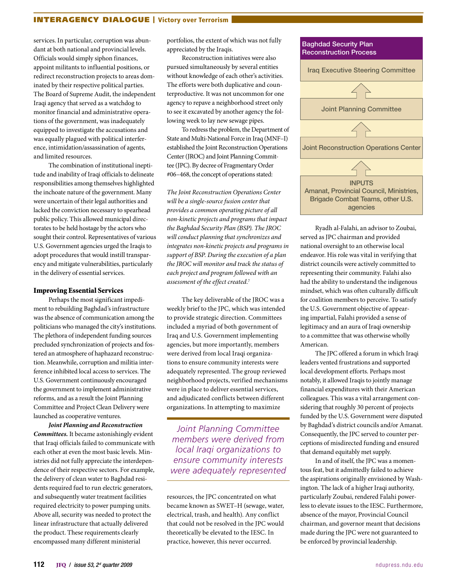#### INTERAGENCY DIALOGUE | Victory over Terrorism

services. In particular, corruption was abundant at both national and provincial levels. Officials would simply siphon finances, appoint militants to influential positions, or redirect reconstruction projects to areas dominated by their respective political parties. The Board of Supreme Audit, the independent Iraqi agency that served as a watchdog to monitor financial and administrative operations of the government, was inadequately equipped to investigate the accusations and was equally plagued with political interference, intimidation/assassination of agents, and limited resources.

The combination of institutional ineptitude and inability of Iraqi officials to delineate responsibilities among themselves highlighted the inchoate nature of the government. Many were uncertain of their legal authorities and lacked the conviction necessary to spearhead public policy. This allowed municipal directorates to be held hostage by the actors who sought their control. Representatives of various U.S. Government agencies urged the Iraqis to adopt procedures that would instill transparency and mitigate vulnerabilities, particularly in the delivery of essential services.

#### Improving Essential Services

Perhaps the most significant impediment to rebuilding Baghdad's infrastructure was the absence of communication among the politicians who managed the city's institutions. The plethora of independent funding sources precluded synchronization of projects and fostered an atmosphere of haphazard reconstruction. Meanwhile, corruption and militia interference inhibited local access to services. The U.S. Government continuously encouraged the government to implement administrative reforms, and as a result the Joint Planning Committee and Project Clean Delivery were launched as cooperative ventures.

*Joint Planning and Reconstruction Committees.* It became astonishingly evident that Iraqi officials failed to communicate with each other at even the most basic levels. Ministries did not fully appreciate the interdependence of their respective sectors. For example, the delivery of clean water to Baghdad residents required fuel to run electric generators, and subsequently water treatment facilities required electricity to power pumping units. Above all, security was needed to protect the linear infrastructure that actually delivered the product. These requirements clearly encompassed many different ministerial

portfolios, the extent of which was not fully appreciated by the Iraqis.

Reconstruction initiatives were also pursued simultaneously by several entities without knowledge of each other's activities. The efforts were both duplicative and counterproductive. It was not uncommon for one agency to repave a neighborhood street only to see it excavated by another agency the following week to lay new sewage pipes.

To redress the problem, the Department of State and Multi-National Force in Iraq (MNF–I) established the Joint Reconstruction Operations Center (JROC) and Joint Planning Committee (JPC). By decree of Fragmentary Order #06–468, the concept of operations stated:

*The Joint Reconstruction Operations Center will be a single-source fusion center that provides a common operating picture of all non-kinetic projects and programs that impact the Baghdad Security Plan (BSP). The JROC will conduct planning that synchronizes and integrates non-kinetic projects and programs in support of BSP. During the execution of a plan the JROC will monitor and track the status of each project and program followed with an assessment of the effect created.*<sup>7</sup>

The key deliverable of the JROC was a weekly brief to the JPC, which was intended to provide strategic direction. Committees included a myriad of both government of Iraq and U.S. Government implementing agencies, but more importantly, members were derived from local Iraqi organizations to ensure community interests were adequately represented. The group reviewed neighborhood projects, verified mechanisms were in place to deliver essential services, and adjudicated conflicts between different organizations. In attempting to maximize

*Joint Planning Committee members were derived from local Iraqi organizations to ensure community interests were adequately represented*

resources, the JPC concentrated on what became known as SWET–H (sewage, water, electrical, trash, and health). Any conflict that could not be resolved in the JPC would theoretically be elevated to the IESC. In practice, however, this never occurred.



Ryadh al-Falahi, an advisor to Zoubai, served as JPC chairman and provided national oversight to an otherwise local endeavor. His role was vital in verifying that district councils were actively committed to representing their community. Falahi also had the ability to understand the indigenous mindset, which was often culturally difficult for coalition members to perceive. To satisfy the U.S. Government objective of appearing impartial, Falahi provided a sense of legitimacy and an aura of Iraqi ownership to a committee that was otherwise wholly American.

The JPC offered a forum in which Iraqi leaders vented frustrations and supported local development efforts. Perhaps most notably, it allowed Iraqis to jointly manage financial expenditures with their American colleagues. This was a vital arrangement considering that roughly 30 percent of projects funded by the U.S. Government were disputed by Baghdad's district councils and/or Amanat. Consequently, the JPC served to counter perceptions of misdirected funding and ensured that demand equitably met supply.

In and of itself, the JPC was a momentous feat, but it admittedly failed to achieve the aspirations originally envisioned by Washington. The lack of a higher Iraqi authority, particularly Zoubai, rendered Falahi powerless to elevate issues to the IESC. Furthermore, absence of the mayor, Provincial Council chairman, and governor meant that decisions made during the JPC were not guaranteed to be enforced by provincial leadership.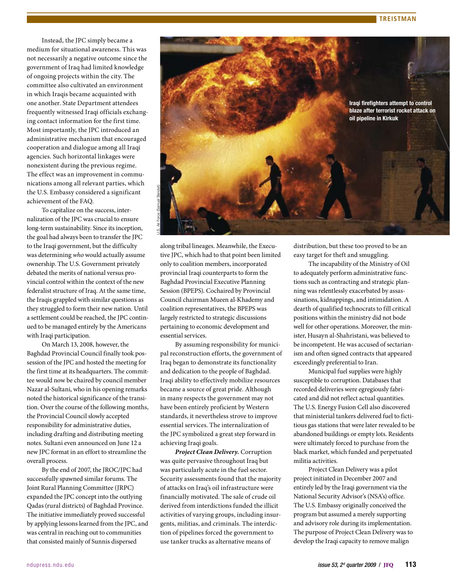Instead, the JPC simply became a medium for situational awareness. This was not necessarily a negative outcome since the government of Iraq had limited knowledge of ongoing projects within the city. The committee also cultivated an environment in which Iraqis became acquainted with one another. State Department attendees frequently witnessed Iraqi officials exchanging contact information for the first time. Most importantly, the JPC introduced an administrative mechanism that encouraged cooperation and dialogue among all Iraqi agencies. Such horizontal linkages were nonexistent during the previous regime. The effect was an improvement in communications among all relevant parties, which the U.S. Embassy considered a significant achievement of the FAQ.

To capitalize on the success, internalization of the JPC was crucial to ensure long-term sustainability. Since its inception, the goal had always been to transfer the JPC to the Iraqi government, but the difficulty was determining *who* would actually assume ownership. The U.S. Government privately debated the merits of national versus provincial control within the context of the new federalist structure of Iraq. At the same time, the Iraqis grappled with similar questions as they struggled to form their new nation. Until a settlement could be reached, the JPC continued to be managed entirely by the Americans with Iraqi participation.

On March 13, 2008, however, the Baghdad Provincial Council finally took possession of the JPC and hosted the meeting for the first time at its headquarters. The committee would now be chaired by council member Nazar al-Sultani, who in his opening remarks noted the historical significance of the transition. Over the course of the following months, the Provincial Council slowly accepted responsibility for administrative duties, including drafting and distributing meeting notes. Sultani even announced on June 12 a new JPC format in an effort to streamline the overall process.

By the end of 2007, the JROC/JPC had successfully spawned similar forums. The Joint Rural Planning Committee (JRPC) expanded the JPC concept into the outlying Qadas (rural districts) of Baghdad Province. The initiative immediately proved successful by applying lessons learned from the JPC, and was central in reaching out to communities that consisted mainly of Sunnis dispersed



along tribal lineages. Meanwhile, the Executive JPC, which had to that point been limited only to coalition members, incorporated provincial Iraqi counterparts to form the Baghdad Provincial Executive Planning Session (BPEPS). Cochaired by Provincial Council chairman Mueen al-Khademy and coalition representatives, the BPEPS was largely restricted to strategic discussions pertaining to economic development and essential services.

By assuming responsibility for municipal reconstruction efforts, the government of Iraq began to demonstrate its functionality and dedication to the people of Baghdad. Iraqi ability to effectively mobilize resources became a source of great pride. Although in many respects the government may not have been entirely proficient by Western standards, it nevertheless strove to improve essential services. The internalization of the JPC symbolized a great step forward in achieving Iraqi goals.

*Project Clean Delivery.* Corruption was quite pervasive throughout Iraq but was particularly acute in the fuel sector. Security assessments found that the majority of attacks on Iraq's oil infrastructure were financially motivated. The sale of crude oil derived from interdictions funded the illicit activities of varying groups, including insurgents, militias, and criminals. The interdiction of pipelines forced the government to use tanker trucks as alternative means of

distribution, but these too proved to be an easy target for theft and smuggling.

The incapability of the Ministry of Oil to adequately perform administrative functions such as contracting and strategic planning was relentlessly exacerbated by assassinations, kidnappings, and intimidation. A dearth of qualified technocrats to fill critical positions within the ministry did not bode well for other operations. Moreover, the minister, Husayn al-Shahristani, was believed to be incompetent. He was accused of sectarianism and often signed contracts that appeared exceedingly preferential to Iran.

Municipal fuel supplies were highly susceptible to corruption. Databases that recorded deliveries were egregiously fabricated and did not reflect actual quantities. The U.S. Energy Fusion Cell also discovered that ministerial tankers delivered fuel to fictitious gas stations that were later revealed to be abandoned buildings or empty lots. Residents were ultimately forced to purchase from the black market, which funded and perpetuated militia activities.

Project Clean Delivery was a pilot project initiated in December 2007 and entirely led by the Iraqi government via the National Security Advisor's (NSA's) office. The U.S. Embassy originally conceived the program but assumed a merely supporting and advisory role during its implementation. The purpose of Project Clean Delivery was to develop the Iraqi capacity to remove malign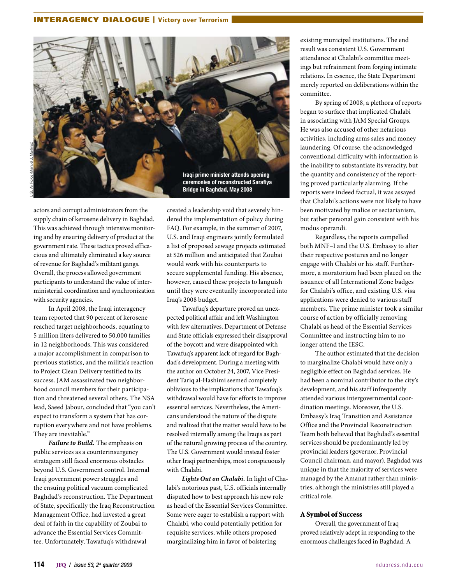#### INTERAGENCY DIALOGUE | Victory over Terrorism



Bridge in Baghdad, May 2008

actors and corrupt administrators from the supply chain of kerosene delivery in Baghdad. This was achieved through intensive monitoring and by ensuring delivery of product at the government rate. These tactics proved efficacious and ultimately eliminated a key source of revenue for Baghdad's militant gangs. Overall, the process allowed government participants to understand the value of interministerial coordination and synchronization with security agencies.

In April 2008, the Iraqi interagency team reported that 90 percent of kerosene reached target neighborhoods, equating to 5 million liters delivered to 50,000 families in 12 neighborhoods. This was considered a major accomplishment in comparison to previous statistics, and the militia's reaction to Project Clean Delivery testified to its success. JAM assassinated two neighborhood council members for their participation and threatened several others. The NSA lead, Saeed Jabour, concluded that "you can't expect to transform a system that has corruption everywhere and not have problems. They are inevitable."

*Failure to Build.* The emphasis on public services as a counterinsurgency stratagem still faced enormous obstacles beyond U.S. Government control. Internal Iraqi government power struggles and the ensuing political vacuum complicated Baghdad's reconstruction. The Department of State, specifically the Iraq Reconstruction Management Office, had invested a great deal of faith in the capability of Zoubai to advance the Essential Services Committee. Unfortunately, Tawafuq's withdrawal

created a leadership void that severely hindered the implementation of policy during FAQ. For example, in the summer of 2007, U.S. and Iraqi engineers jointly formulated a list of proposed sewage projects estimated at \$26 million and anticipated that Zoubai would work with his counterparts to secure supplemental funding. His absence, however, caused these projects to languish until they were eventually incorporated into Iraq's 2008 budget.

Tawafuq's departure proved an unexpected political affair and left Washington with few alternatives. Department of Defense and State officials expressed their disapproval of the boycott and were disappointed with Tawafuq's apparent lack of regard for Baghdad's development. During a meeting with the author on October 24, 2007, Vice President Tariq al-Hashimi seemed completely oblivious to the implications that Tawafuq's withdrawal would have for efforts to improve essential services. Nevertheless, the Americans understood the nature of the dispute and realized that the matter would have to be resolved internally among the Iraqis as part of the natural growing process of the country. The U.S. Government would instead foster other Iraqi partnerships, most conspicuously with Chalabi.

*Lights Out on Chalabi.* In light of Chalabi's notorious past, U.S. officials internally disputed how to best approach his new role as head of the Essential Services Committee. Some were eager to establish a rapport with Chalabi, who could potentially petition for requisite services, while others proposed marginalizing him in favor of bolstering

existing municipal institutions. The end result was consistent U.S. Government attendance at Chalabi's committee meetings but refrainment from forging intimate relations. In essence, the State Department merely reported on deliberations within the committee.

By spring of 2008, a plethora of reports began to surface that implicated Chalabi in associating with JAM Special Groups. He was also accused of other nefarious activities, including arms sales and money laundering. Of course, the acknowledged conventional difficulty with information is the inability to substantiate its veracity, but the quantity and consistency of the reporting proved particularly alarming. If the reports were indeed factual, it was assayed that Chalabi's actions were not likely to have been motivated by malice or sectarianism, but rather personal gain consistent with his modus operandi.

Regardless, the reports compelled both MNF–I and the U.S. Embassy to alter their respective postures and no longer engage with Chalabi or his staff. Furthermore, a moratorium had been placed on the issuance of all International Zone badges for Chalabi's office, and existing U.S. visa applications were denied to various staff members. The prime minister took a similar course of action by officially removing Chalabi as head of the Essential Services Committee and instructing him to no longer attend the IESC.

The author estimated that the decision to marginalize Chalabi would have only a negligible effect on Baghdad services. He had been a nominal contributor to the city's development, and his staff infrequently attended various intergovernmental coordination meetings. Moreover, the U.S. Embassy's Iraq Transition and Assistance Office and the Provincial Reconstruction Team both believed that Baghdad's essential services should be predominantly led by provincial leaders (governor, Provincial Council chairman, and mayor). Baghdad was unique in that the majority of services were managed by the Amanat rather than ministries, although the ministries still played a critical role.

#### A Symbol of Success

Overall, the government of Iraq proved relatively adept in responding to the enormous challenges faced in Baghdad. A